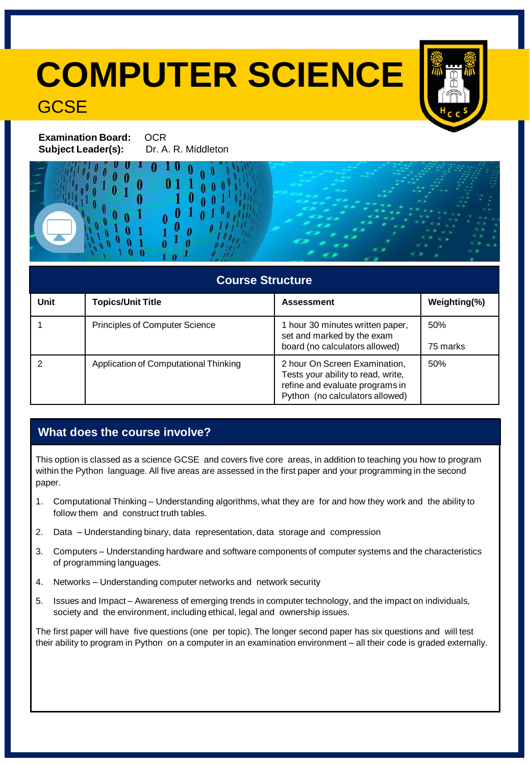# **COMPUTER SCIENCE GCSE**



**Examination Board: OCR Subject Leader(s):** Dr. A. R. Middleton

# **Course Structure**

| Unit | <b>Topics/Unit Title</b>              | <b>Assessment</b>                                                                                                                         | Weighting(%)    |
|------|---------------------------------------|-------------------------------------------------------------------------------------------------------------------------------------------|-----------------|
|      | <b>Principles of Computer Science</b> | 1 hour 30 minutes written paper,<br>set and marked by the exam<br>board (no calculators allowed)                                          | 50%<br>75 marks |
|      | Application of Computational Thinking | 2 hour On Screen Examination,<br>Tests your ability to read, write,<br>refine and evaluate programs in<br>Python (no calculators allowed) | 50%             |

# **What does the course involve?**

This option is classed as a science GCSE and covers five core areas, in addition to teaching you how to program within the Python language. All five areas are assessed in the first paper and your programming in the second paper.

- 1. Computational Thinking Understanding algorithms, what they are for and how they work and the ability to follow them and construct truth tables.
- 2. Data Understanding binary, data representation, data storage and compression
- 3. Computers Understanding hardware and software components of computer systems and the characteristics of programming languages.
- 4. Networks Understanding computer networks and network security
- 5. Issues and Impact Awareness of emerging trends in computer technology, and the impact on individuals, society and the environment, including ethical, legal and ownership issues.

The first paper will have five questions (one per topic). The longer second paper has six questions and will test their ability to program in Python on a computer in an examination environment – all their code is graded externally.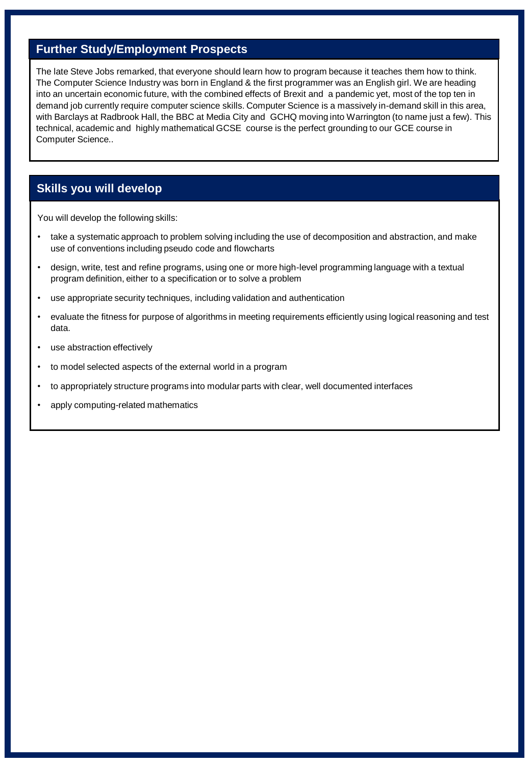## **Further Study/Employment Prospects**

The late Steve Jobs remarked, that everyone should learn how to program because it teaches them how to think. The Computer Science Industry was born in England & the first programmer was an English girl. We are heading into an uncertain economic future, with the combined effects of Brexit and a pandemic yet, most of the top ten in demand job currently require computer science skills. Computer Science is a massively in-demand skill in this area, with Barclays at Radbrook Hall, the BBC at Media City and GCHQ moving into Warrington (to name just a few). This technical, academic and highly mathematical GCSE course is the perfect grounding to our GCE course in Computer Science..

#### **Skills you will develop**

You will develop the following skills:

- take a systematic approach to problem solving including the use of decomposition and abstraction, and make use of conventions including pseudo code and flowcharts
- design, write, test and refine programs, using one or more high-level programming language with a textual program definition, either to a specification or to solve a problem
- use appropriate security techniques, including validation and authentication
- evaluate the fitness for purpose of algorithms in meeting requirements efficiently using logical reasoning and test data.
- use abstraction effectively
- to model selected aspects of the external world in a program
- to appropriately structure programs into modular parts with clear, well documented interfaces
- apply computing-related mathematics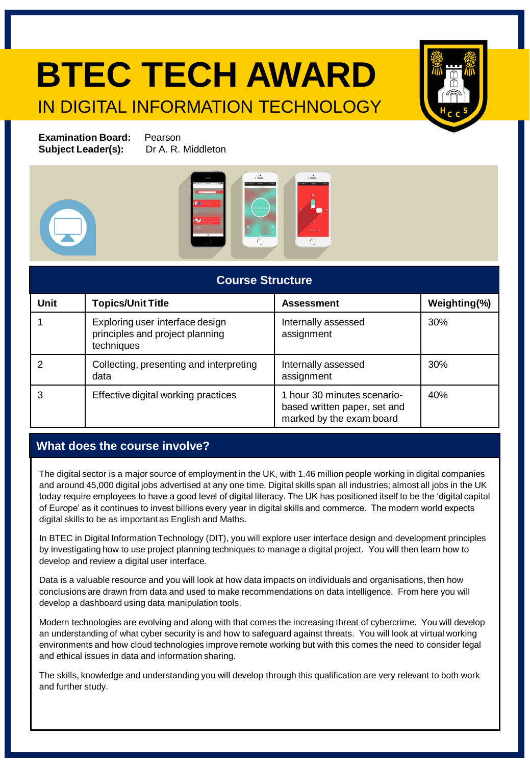# **BTEC TECH AWARD** IN DIGITAL INFORMATION TECHNOLOGY



**Examination Board:** Pearson **Subject Leader(s):** Dr A. R. Middleton







| <b>Course Structure</b> |                                                                                  |                                                                                         |              |  |
|-------------------------|----------------------------------------------------------------------------------|-----------------------------------------------------------------------------------------|--------------|--|
| <b>Unit</b>             | <b>Topics/Unit Title</b>                                                         | <b>Assessment</b>                                                                       | Weighting(%) |  |
|                         | Exploring user interface design<br>principles and project planning<br>techniques | Internally assessed<br>assignment                                                       | 30%          |  |
|                         | Collecting, presenting and interpreting<br>data                                  | Internally assessed<br>assignment                                                       | 30%          |  |
| 3                       | Effective digital working practices                                              | 1 hour 30 minutes scenario-<br>based written paper, set and<br>marked by the exam board | 40%          |  |

### **What does the course involve?**

The digital sector is a major source of employment in the UK, with 1.46 million people working in digital companies and around 45,000 digital jobs advertised at any one time. Digital skills span all industries; almost all jobs in the UK today require employees to have a good level of digital literacy. The UK has positioned itself to be the 'digital capital of Europe' as it continues to invest billions every year in digital skills and commerce. The modern world expects digital skills to be as important as English and Maths.

In BTEC in Digital Information Technology (DIT), you will explore user interface design and development principles by investigating how to use project planning techniques to manage a digital project. You will then learn how to develop and review a digital user interface.

Data is a valuable resource and you will look at how data impacts on individuals and organisations, then how conclusions are drawn from data and used to make recommendations on data intelligence. From here you will develop a dashboard using data manipulation tools.

Modern technologies are evolving and along with that comes the increasing threat of cybercrime. You will develop an understanding of what cyber security is and how to safeguard against threats. You will look at virtual working environments and how cloud technologies improve remote working but with this comes the need to consider legal and ethical issues in data and information sharing.

The skills, knowledge and understanding you will develop through this qualification are very relevant to both work and further study.